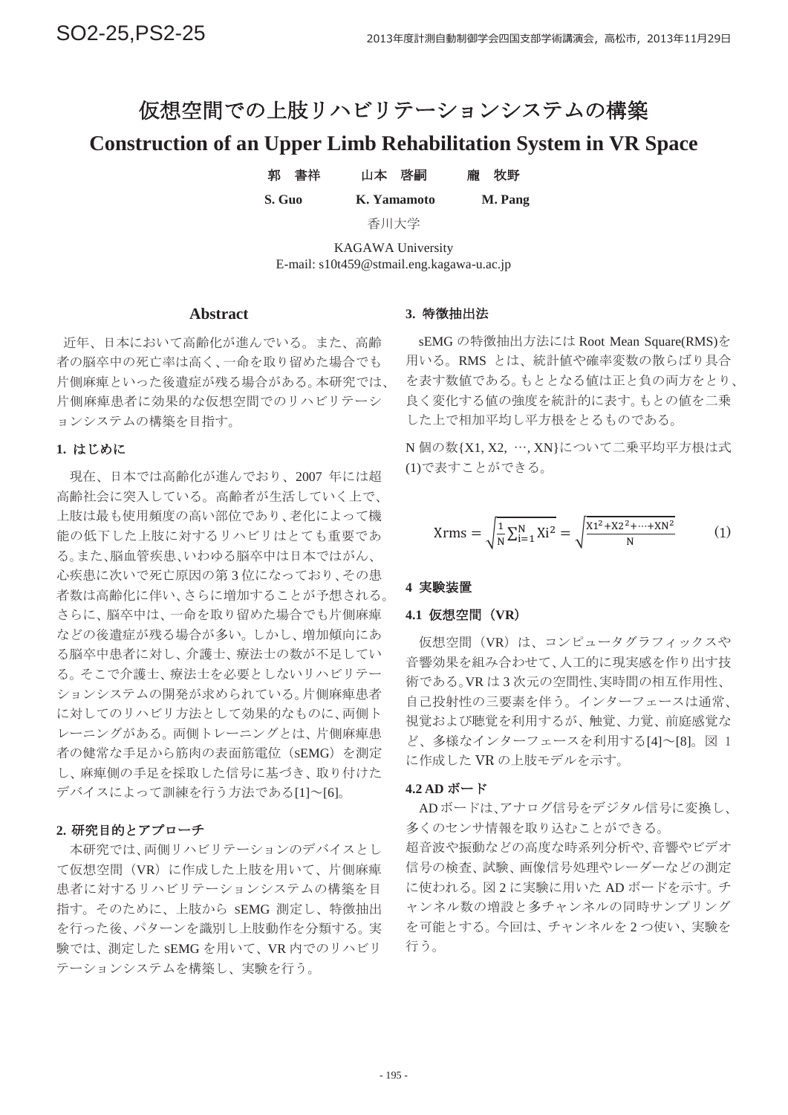# 仮想空間での上肢リハビリテーションシステムの構築

# **Construction of an Upper Limb Rehabilitation System in VR Space**

| S. Guo | K. Yamamoto | M. Pang |
|--------|-------------|---------|
| 郭 書祥   | 山本 啓嗣       | 龐 牧野    |

香川大学

KAGAWA University E-mail: s10t459@stmail.eng.kagawa-u.ac.jp

### **Abstract**

近年、日本において高齢化が進んでいる。また、高齢 者の脳卒中の死亡率は高く、一命を取り留めた場合でも 片側麻痺といった後遺症が残る場合がある。本研究では、 片側麻痺患者に効果的な仮想空間でのリハビリテーシ ョンシステムの構築を目指す。

### ࡵࡌࡣ **1.**

現在、日本では高齢化が進んでおり、2007年には超 高齢社会に突入している。高齢者が生活していく上で、 上肢は最も使用頻度の高い部位であり、老化によって機 能の低下した上肢に対するリハビリはとても重要であ る。また、脳血管疾患、いわゆる脳卒中は日本ではがん、 心疾患に次いで死亡原因の第3位になっており、その患 者数は高齢化に伴い、さらに増加することが予想される。 さらに、脳卒中は、一命を取り留めた場合でも片側麻痺 などの後遺症が残る場合が多い。しかし、増加傾向にあ る脳卒中患者に対し、介護士、療法士の数が不足してい る。そこで介護士、療法士を必要としないリハビリテー ションシステムの開発が求められている。片側麻痺患者 に対してのリハビリ方法として効果的なものに、両側ト レーニングがある。両側トレーニングとは、片側麻痺患 者の健常な手足から筋肉の表面筋電位 (SEMG) を測定 し、麻痺側の手足を採取した信号に基づき、取り付けた デバイスによって訓練を行う方法である[1] ~[6]。

## 2. 研究目的とアプローチ

本研究では、両側リハビリテーションのデバイスとし て仮想空間(VR)に作成した上肢を用いて、片側麻痺 患者に対するリハビリテーションシステムの構築を目 指す。そのために、上肢から sEMG 測定し、特徴抽出 を行った後、パターンを識別し上肢動作を分類する。実 験では、測定した SEMG を用いて、VR 内でのリハビリ テーションシステムを構築し、実験を行う。

## 3. 特徵抽出法

sEMG の特徴抽出方法には Root Mean Square(RMS)を 用いる。RMS とは、統計値や確率変数の散らばり具合 を表す数値である。もととなる値は正と負の両方をとり、 良く変化する値の強度を統計的に表す。もとの値を二乗 した上で相加平均し平方根をとるものである。

N 個の数{X1, X2, …, XN}について二乗平均平方根は式 (1)で表すことができる。

$$
Xrms = \sqrt{\frac{1}{N} \sum_{i=1}^{N} X_i^2} = \sqrt{\frac{X1^2 + X2^2 + \dots + XN^2}{N}}
$$
 (1)

#### 4 実験装置

#### 4.1 仮想空間 (VR)

仮想空間 (VR) は、コンピュータグラフィックスや 音響効果を組み合わせて、人工的に現実感を作り出す技 術である。VR は3次元の空間性、実時間の相互作用性、 自己投射性の三要素を伴う。インターフェースは通常、 視覚および聴覚を利用するが、触覚、力覚、前庭感覚な ど、多様なインターフェースを利用する[4]~[8]。図 1 に作成したVRの上肢モデルを示す。

#### 4.2 AD ボード

ADボードは、アナログ信号をデジタル信号に変換し、 多くのセンサ情報を取り込むことができる。

超音波や振動などの高度な時系列分析や、音響やビデオ 信号の検査、試験、画像信号処理やレーダーなどの測定 に使われる。図2に実験に用いたAD ボードを示す。チ ャンネル数の増設と多チャンネルの同時サンプリング を可能とする。今回は、チャンネルを2つ使い、実験を 行う。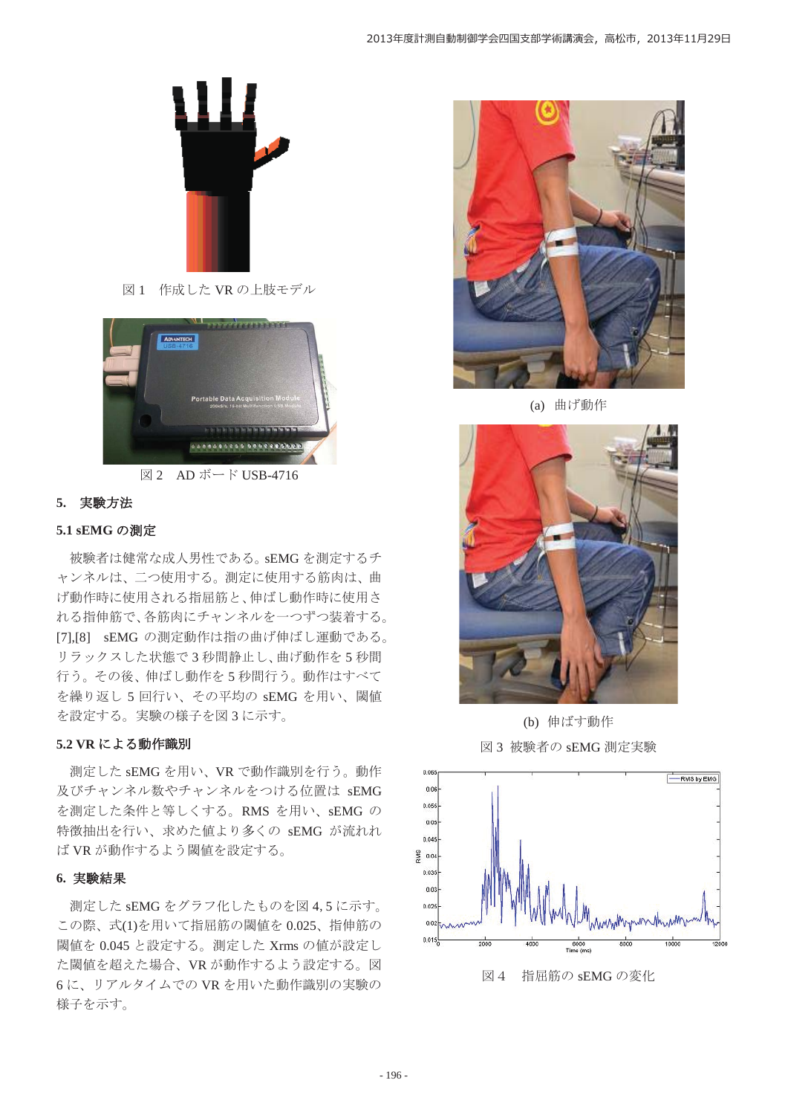

図1 作成した VR の上肢モデル





### 5. 実験方法

## 5.1 sEMG の測定

被験者は健常な成人男性である。sEMG を測定するチ ャンネルは、二つ使用する。測定に使用する筋肉は、曲 げ動作時に使用される指屈筋と、伸ばし動作時に使用さ れる指伸筋で、各筋肉にチャンネルを一つずつ装着する。 [7],[8] sEMG の測定動作は指の曲げ伸ばし運動である。 リラックスした状態で3秒間静止し、曲げ動作を5秒間 行う。その後、伸ばし動作を5秒間行う。動作はすべて を繰り返し5回行い、その平均の sEMG を用い、閾値 を設定する。実験の様子を図3に示す。

### 5.2 VR による動作識別

測定した sEMG を用い、VR で動作識別を行う。動作 及びチャンネル数やチャンネルをつける位置は sEMG を測定した条件と等しくする。RMS を用い、sEMG の 特徴抽出を行い、求めた値より多くの sEMG が流れれ ば VR が動作するよう閾値を設定する。

#### 6. 実験結果

測定した sEMG をグラフ化したものを図 4,5 に示す。 この際、式(1)を用いて指屈筋の閾値を0.025、指伸筋の 閾値を 0.045 と設定する。測定した Xrms の値が設定し た閾値を超えた場合、VR が動作するよう設定する。図 6に、リアルタイムでのVRを用いた動作識別の実験の 様子を示す。



(a) 曲げ動作